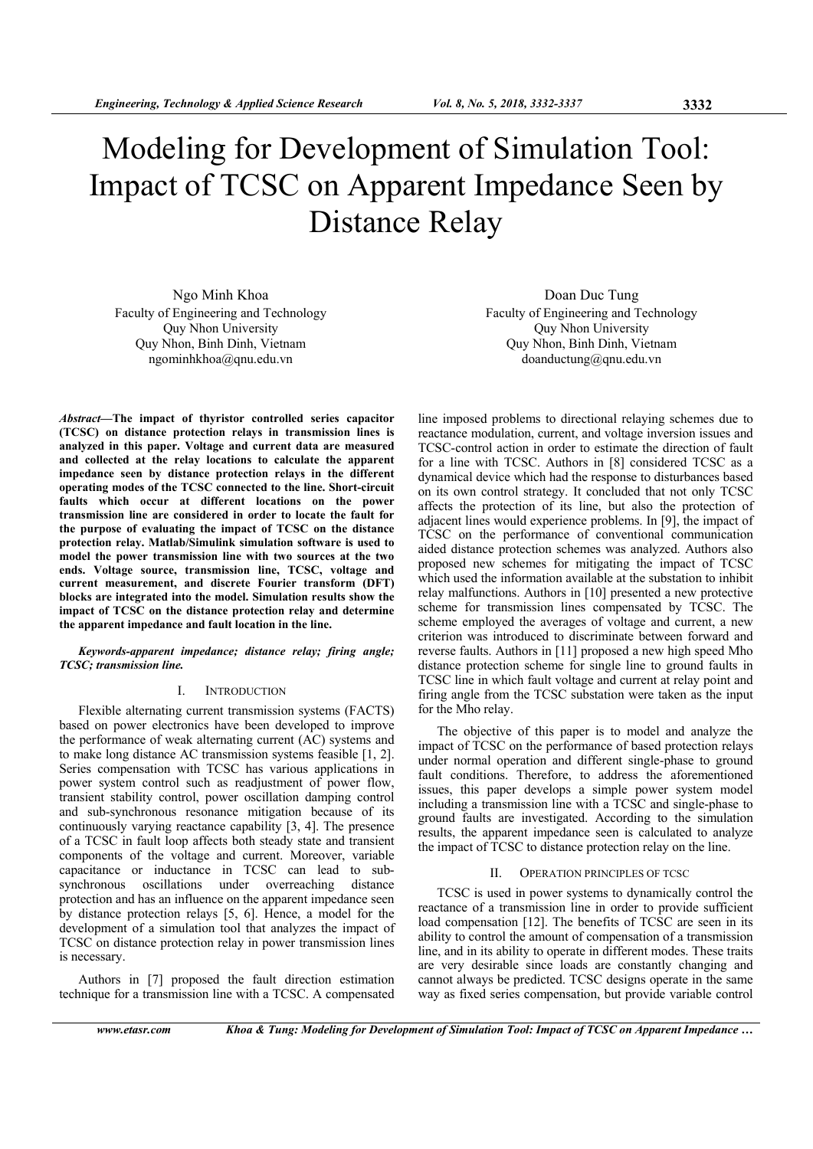# Modeling for Development of Simulation Tool: Impact of TCSC on Apparent Impedance Seen by Distance Relay

Ngo Minh Khoa Faculty of Engineering and Technology Quy Nhon University Quy Nhon, Binh Dinh, Vietnam ngominhkhoa@qnu.edu.vn

*Abstract***—The impact of thyristor controlled series capacitor (TCSC) on distance protection relays in transmission lines is analyzed in this paper. Voltage and current data are measured and collected at the relay locations to calculate the apparent impedance seen by distance protection relays in the different operating modes of the TCSC connected to the line. Short-circuit faults which occur at different locations on the power transmission line are considered in order to locate the fault for the purpose of evaluating the impact of TCSC on the distance protection relay. Matlab/Simulink simulation software is used to model the power transmission line with two sources at the two ends. Voltage source, transmission line, TCSC, voltage and current measurement, and discrete Fourier transform (DFT) blocks are integrated into the model. Simulation results show the impact of TCSC on the distance protection relay and determine the apparent impedance and fault location in the line.** 

## *Keywords-apparent impedance; distance relay; firing angle; TCSC; transmission line.*

## I. INTRODUCTION

Flexible alternating current transmission systems (FACTS) based on power electronics have been developed to improve the performance of weak alternating current (AC) systems and to make long distance AC transmission systems feasible [1, 2]. Series compensation with TCSC has various applications in power system control such as readjustment of power flow, transient stability control, power oscillation damping control and sub-synchronous resonance mitigation because of its continuously varying reactance capability [3, 4]. The presence of a TCSC in fault loop affects both steady state and transient components of the voltage and current. Moreover, variable capacitance or inductance in TCSC can lead to subsynchronous oscillations under overreaching distance protection and has an influence on the apparent impedance seen by distance protection relays [5, 6]. Hence, a model for the development of a simulation tool that analyzes the impact of TCSC on distance protection relay in power transmission lines is necessary.

Authors in [7] proposed the fault direction estimation technique for a transmission line with a TCSC. A compensated

Doan Duc Tung Faculty of Engineering and Technology Quy Nhon University Quy Nhon, Binh Dinh, Vietnam doanductung@qnu.edu.vn

line imposed problems to directional relaying schemes due to reactance modulation, current, and voltage inversion issues and TCSC-control action in order to estimate the direction of fault for a line with TCSC. Authors in [8] considered TCSC as a dynamical device which had the response to disturbances based on its own control strategy. It concluded that not only TCSC affects the protection of its line, but also the protection of adjacent lines would experience problems. In [9], the impact of TCSC on the performance of conventional communication aided distance protection schemes was analyzed. Authors also proposed new schemes for mitigating the impact of TCSC which used the information available at the substation to inhibit relay malfunctions. Authors in [10] presented a new protective scheme for transmission lines compensated by TCSC. The scheme employed the averages of voltage and current, a new criterion was introduced to discriminate between forward and reverse faults. Authors in [11] proposed a new high speed Mho distance protection scheme for single line to ground faults in TCSC line in which fault voltage and current at relay point and firing angle from the TCSC substation were taken as the input for the Mho relay.

The objective of this paper is to model and analyze the impact of TCSC on the performance of based protection relays under normal operation and different single-phase to ground fault conditions. Therefore, to address the aforementioned issues, this paper develops a simple power system model including a transmission line with a TCSC and single-phase to ground faults are investigated. According to the simulation results, the apparent impedance seen is calculated to analyze the impact of TCSC to distance protection relay on the line.

## II. OPERATION PRINCIPLES OF TCSC

TCSC is used in power systems to dynamically control the reactance of a transmission line in order to provide sufficient load compensation [12]. The benefits of TCSC are seen in its ability to control the amount of compensation of a transmission line, and in its ability to operate in different modes. These traits are very desirable since loads are constantly changing and cannot always be predicted. TCSC designs operate in the same way as fixed series compensation, but provide variable control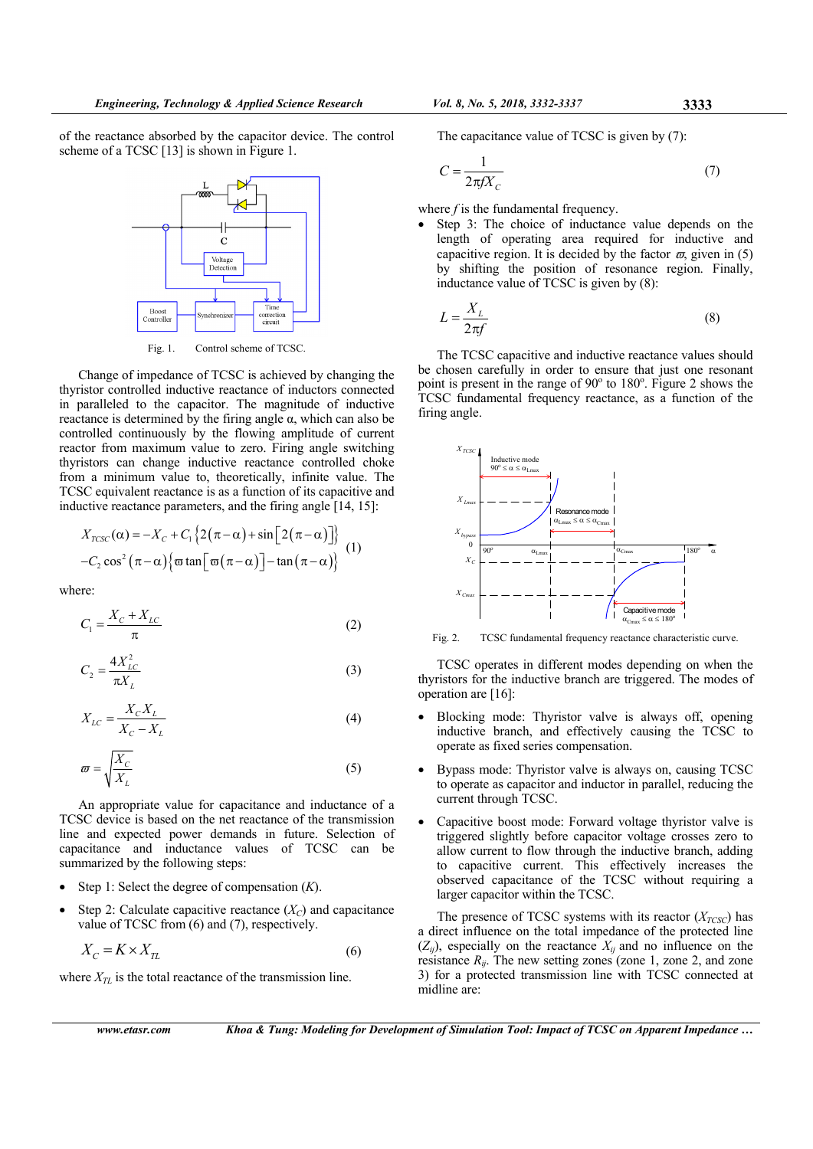of the reactance absorbed by the capacitor device. The control scheme of a TCSC [13] is shown in Figure 1.



Fig. 1. Control scheme of TCSC.

Change of impedance of TCSC is achieved by changing the thyristor controlled inductive reactance of inductors connected in paralleled to the capacitor. The magnitude of inductive reactance is determined by the firing angle α, which can also be controlled continuously by the flowing amplitude of current reactor from maximum value to zero. Firing angle switching thyristors can change inductive reactance controlled choke from a minimum value to, theoretically, infinite value. The TCSC equivalent reactance is as a function of its capacitive and inductive reactance parameters, and the firing angle [14, 15]:

$$
X_{TCSC}(\alpha) = -X_C + C_1 \{2(\pi - \alpha) + \sin[2(\pi - \alpha)]\}
$$
  
-C<sub>2</sub> cos<sup>2</sup>  $(\pi - \alpha)$   $\{\varpi \tan[\varpi(\pi - \alpha)] - \tan(\pi - \alpha)\}$  (1)

where:

$$
C_1 = \frac{X_c + X_{LC}}{\pi} \tag{2}
$$

$$
C_2 = \frac{4X_{LC}^2}{\pi X_L}
$$
 (3)

$$
X_{LC} = \frac{X_C X_L}{X_C - X_L} \tag{4}
$$

$$
\varpi = \sqrt{\frac{X_C}{X_L}}\tag{5}
$$

An appropriate value for capacitance and inductance of a TCSC device is based on the net reactance of the transmission line and expected power demands in future. Selection of capacitance and inductance values of TCSC can be summarized by the following steps:

- Step 1: Select the degree of compensation (*K*).
- Step 2: Calculate capacitive reactance  $(X_C)$  and capacitance value of TCSC from (6) and (7), respectively.

$$
X_C = K \times X_{TL} \tag{6}
$$

where  $X_{TL}$  is the total reactance of the transmission line.

*www.etasr.com Khoa & Tung: Modeling for Development of Simulation Tool: Impact of TCSC on Apparent Impedance …* 

The capacitance value of TCSC is given by (7):

$$
C = \frac{1}{2\pi f X_C} \tag{7}
$$

where *f* is the fundamental frequency.

 Step 3: The choice of inductance value depends on the length of operating area required for inductive and capacitive region. It is decided by the factor  $\varpi$ , given in (5) by shifting the position of resonance region. Finally, inductance value of TCSC is given by (8):

$$
L = \frac{X_L}{2\pi f} \tag{8}
$$

The TCSC capacitive and inductive reactance values should be chosen carefully in order to ensure that just one resonant point is present in the range of 90° to 180°. Figure 2 shows the TCSC fundamental frequency reactance, as a function of the firing angle.



Fig. 2. TCSC fundamental frequency reactance characteristic curve.

TCSC operates in different modes depending on when the thyristors for the inductive branch are triggered. The modes of operation are [16]:

- Blocking mode: Thyristor valve is always off, opening inductive branch, and effectively causing the TCSC to operate as fixed series compensation.
- Bypass mode: Thyristor valve is always on, causing TCSC to operate as capacitor and inductor in parallel, reducing the current through TCSC.
- Capacitive boost mode: Forward voltage thyristor valve is triggered slightly before capacitor voltage crosses zero to allow current to flow through the inductive branch, adding to capacitive current. This effectively increases the observed capacitance of the TCSC without requiring a larger capacitor within the TCSC.

The presence of TCSC systems with its reactor  $(X_{TCSC})$  has a direct influence on the total impedance of the protected line  $(Z_{ij})$ , especially on the reactance  $X_{ij}$  and no influence on the resistance  $R_{ii}$ . The new setting zones (zone 1, zone 2, and zone 3) for a protected transmission line with TCSC connected at midline are: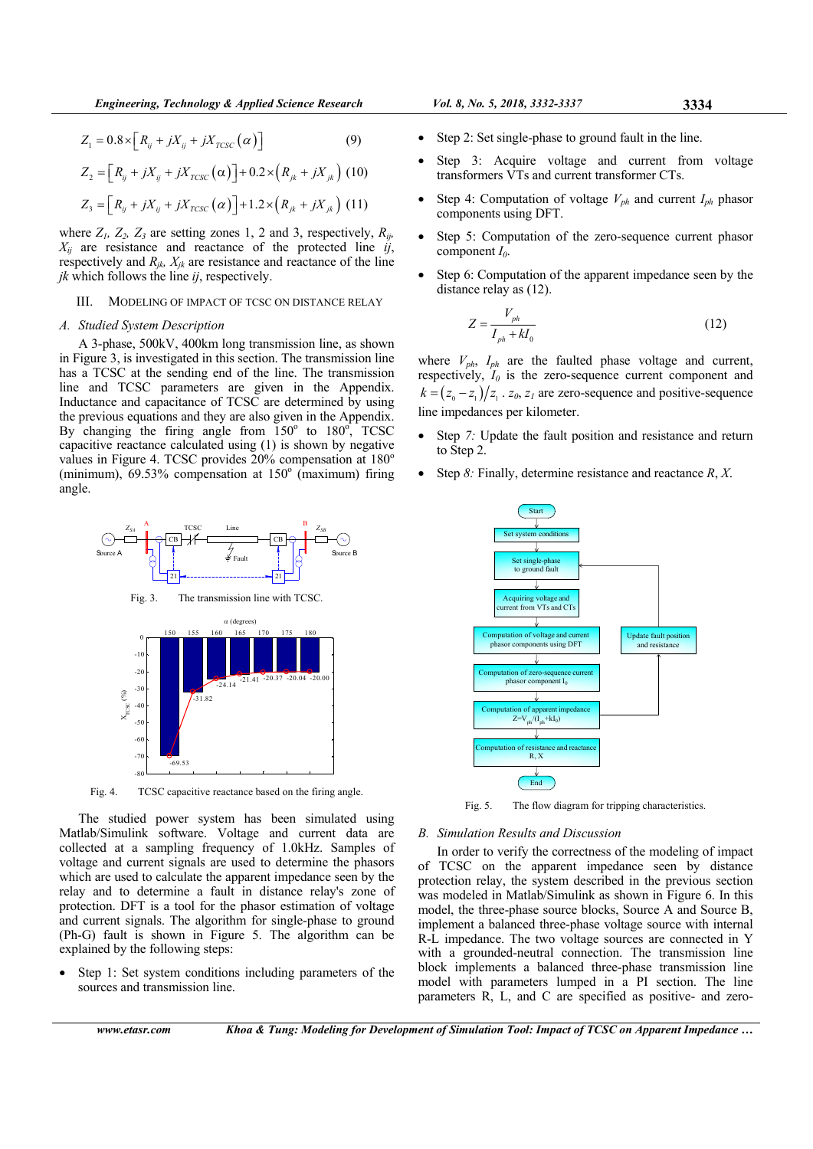$$
Z_1 = 0.8 \times \left[ R_{ij} + jX_{ij} + jX_{TCSC} \left( \alpha \right) \right] \tag{9}
$$

$$
Z_2 = [R_{ij} + jX_{ij} + jX_{TCSC} (\alpha)] + 0.2 \times (R_{jk} + jX_{jk}) (10)
$$
  

$$
Z_3 = [R_{ij} + jX_{ij} + jX_{TCSC} (\alpha)] + 1.2 \times (R_{jk} + jX_{jk}) (11)
$$

where  $Z_1$ ,  $Z_2$ ,  $Z_3$  are setting zones 1, 2 and 3, respectively,  $R_{ij}$ ,  $X_{ii}$  are resistance and reactance of the protected line  $ii$ , respectively and  $R_{jk}$ ,  $X_{jk}$  are resistance and reactance of the line *jk* which follows the line *ij*, respectively.

#### III. MODELING OF IMPACT OF TCSC ON DISTANCE RELAY

## *A. Studied System Description*

A 3-phase, 500kV, 400km long transmission line, as shown in Figure 3, is investigated in this section. The transmission line has a TCSC at the sending end of the line. The transmission line and TCSC parameters are given in the Appendix. Inductance and capacitance of TCSC are determined by using the previous equations and they are also given in the Appendix. By changing the firing angle from  $150^\circ$  to  $180^\circ$ , TCSC capacitive reactance calculated using (1) is shown by negative values in Figure 4. TCSC provides  $20\%$  compensation at  $180^\circ$ (minimum),  $69.53\%$  compensation at  $150^\circ$  (maximum) firing angle.



Fig. 4. TCSC capacitive reactance based on the firing angle.

The studied power system has been simulated using Matlab/Simulink software. Voltage and current data are collected at a sampling frequency of 1.0kHz. Samples of voltage and current signals are used to determine the phasors which are used to calculate the apparent impedance seen by the relay and to determine a fault in distance relay's zone of protection. DFT is a tool for the phasor estimation of voltage and current signals. The algorithm for single-phase to ground (Ph-G) fault is shown in Figure 5. The algorithm can be explained by the following steps:

• Step 1: Set system conditions including parameters of the sources and transmission line.

$$
...
$$

- Step 2: Set single-phase to ground fault in the line.
- Step 3: Acquire voltage and current from voltage transformers VTs and current transformer CTs.
- Step 4: Computation of voltage  $V_{ph}$  and current  $I_{ph}$  phasor components using DFT.
- Step 5: Computation of the zero-sequence current phasor component *I0*.
- Step 6: Computation of the apparent impedance seen by the distance relay as (12).

$$
Z = \frac{V_{ph}}{I_{ph} + kI_0}
$$
 (12)

where *Vph*, *Iph* are the faulted phase voltage and current, respectively,  $I_0$  is the zero-sequence current component and  $k = (z_0 - z_1)/z_1$ .  $z_0$ ,  $z_1$  are zero-sequence and positive-sequence line impedances per kilometer.

- Step *7:* Update the fault position and resistance and return to Step 2.
- Step *8:* Finally, determine resistance and reactance *R*, *X*.



Fig. 5. The flow diagram for tripping characteristics.

#### *B. Simulation Results and Discussion*

In order to verify the correctness of the modeling of impact of TCSC on the apparent impedance seen by distance protection relay, the system described in the previous section was modeled in Matlab/Simulink as shown in Figure 6. In this model, the three-phase source blocks, Source A and Source B, implement a balanced three-phase voltage source with internal R-L impedance. The two voltage sources are connected in Y with a grounded-neutral connection. The transmission line block implements a balanced three-phase transmission line model with parameters lumped in a PI section. The line parameters R, L, and C are specified as positive- and zero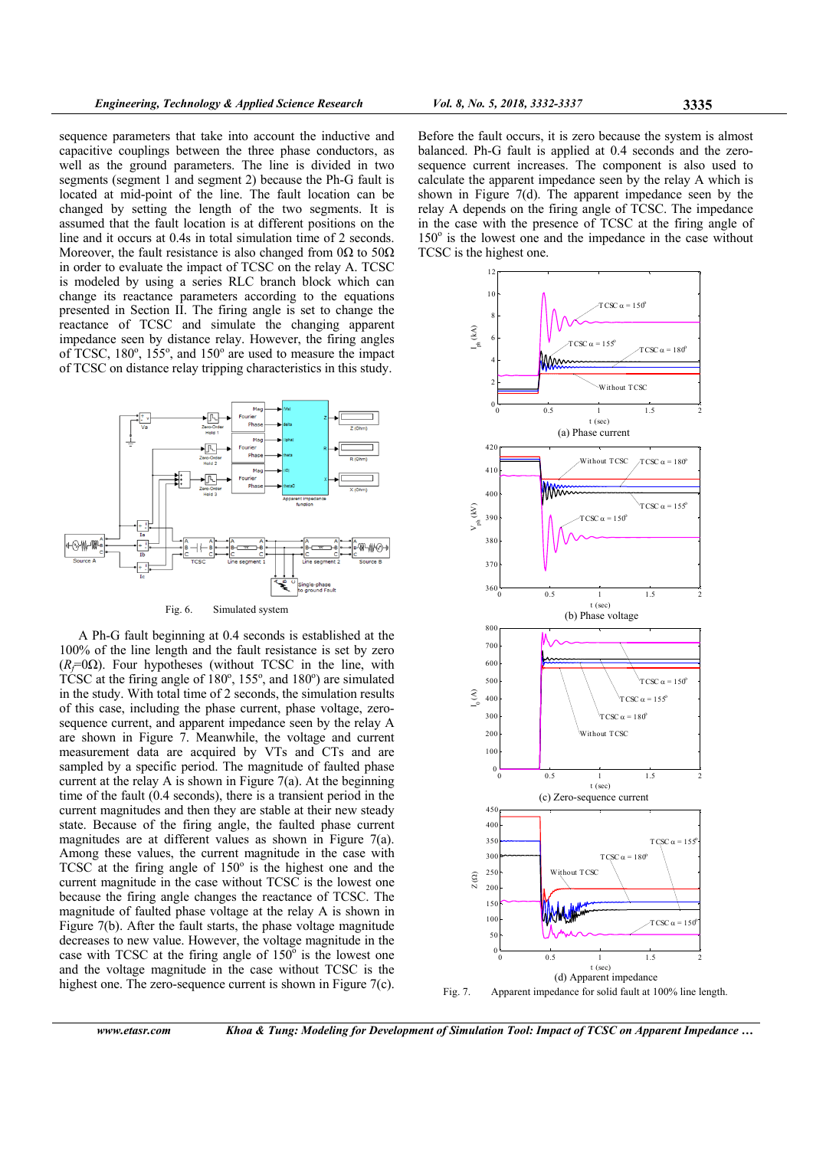sequence parameters that take into account the inductive and capacitive couplings between the three phase conductors, as well as the ground parameters. The line is divided in two segments (segment 1 and segment 2) because the Ph-G fault is located at mid-point of the line. The fault location can be changed by setting the length of the two segments. It is assumed that the fault location is at different positions on the line and it occurs at 0.4s in total simulation time of 2 seconds. Moreover, the fault resistance is also changed from 0 $\Omega$  to 50 $\Omega$ in order to evaluate the impact of TCSC on the relay A. TCSC is modeled by using a series RLC branch block which can change its reactance parameters according to the equations presented in Section II. The firing angle is set to change the reactance of TCSC and simulate the changing apparent impedance seen by distance relay. However, the firing angles of TCSC,  $180^\circ$ ,  $155^\circ$ , and  $150^\circ$  are used to measure the impact of TCSC on distance relay tripping characteristics in this study.



Fig. 6. Simulated system

A Ph-G fault beginning at 0.4 seconds is established at the 100% of the line length and the fault resistance is set by zero  $(R_f=0\Omega)$ . Four hypotheses (without TCSC in the line, with TCSC at the firing angle of  $180^\circ$ ,  $155^\circ$ , and  $180^\circ$ ) are simulated in the study. With total time of 2 seconds, the simulation results of this case, including the phase current, phase voltage, zerosequence current, and apparent impedance seen by the relay A are shown in Figure 7. Meanwhile, the voltage and current measurement data are acquired by VTs and CTs and are sampled by a specific period. The magnitude of faulted phase current at the relay A is shown in Figure 7(a). At the beginning time of the fault (0.4 seconds), there is a transient period in the current magnitudes and then they are stable at their new steady state. Because of the firing angle, the faulted phase current magnitudes are at different values as shown in Figure 7(a). Among these values, the current magnitude in the case with  $TCSC$  at the firing angle of  $150^\circ$  is the highest one and the current magnitude in the case without TCSC is the lowest one because the firing angle changes the reactance of TCSC. The magnitude of faulted phase voltage at the relay A is shown in Figure 7(b). After the fault starts, the phase voltage magnitude decreases to new value. However, the voltage magnitude in the case with TCSC at the firing angle of  $150^\circ$  is the lowest one and the voltage magnitude in the case without TCSC is the highest one. The zero-sequence current is shown in Figure 7(c).

Before the fault occurs, it is zero because the system is almost balanced. Ph-G fault is applied at 0.4 seconds and the zerosequence current increases. The component is also used to calculate the apparent impedance seen by the relay A which is shown in Figure 7(d). The apparent impedance seen by the relay A depends on the firing angle of TCSC. The impedance in the case with the presence of TCSC at the firing angle of  $150^\circ$  is the lowest one and the impedance in the case without TCSC is the highest one.

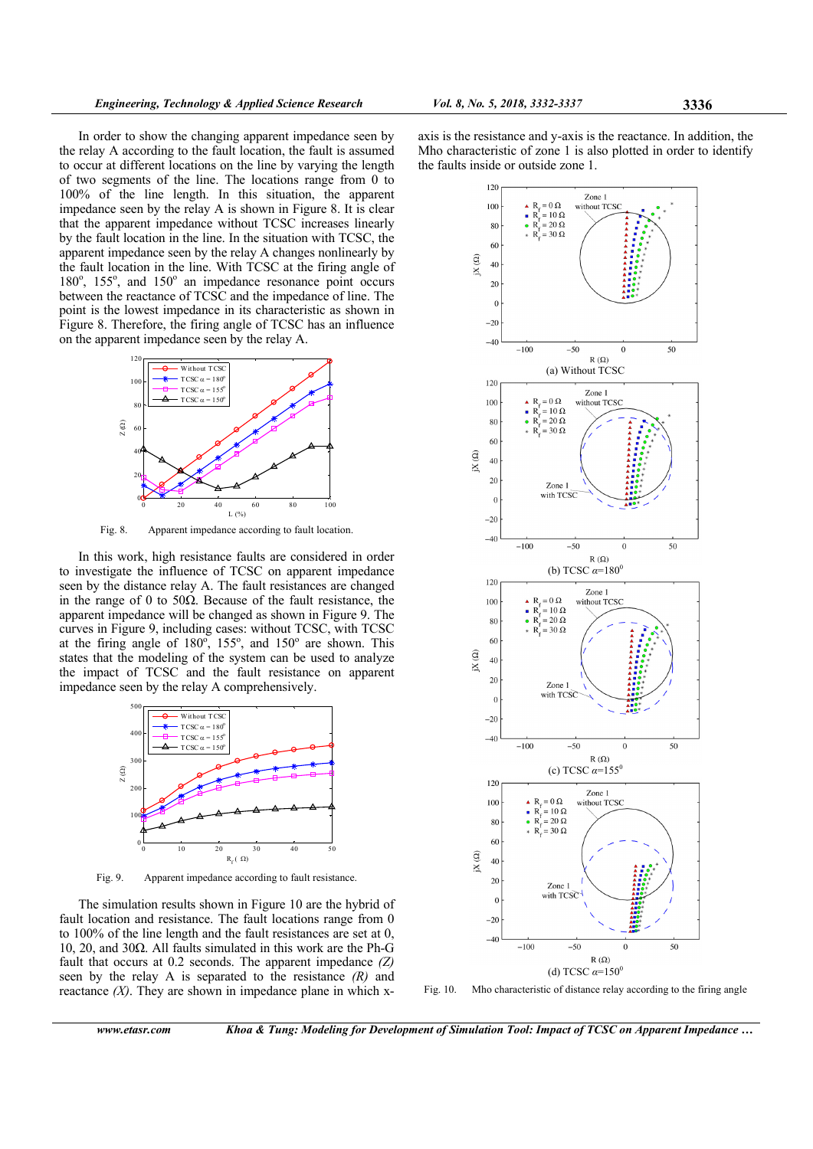In order to show the changing apparent impedance seen by the relay A according to the fault location, the fault is assumed to occur at different locations on the line by varying the length of two segments of the line. The locations range from 0 to 100% of the line length. In this situation, the apparent impedance seen by the relay A is shown in Figure 8. It is clear that the apparent impedance without TCSC increases linearly by the fault location in the line. In the situation with TCSC, the apparent impedance seen by the relay A changes nonlinearly by the fault location in the line. With TCSC at the firing angle of  $180^\circ$ ,  $155^\circ$ , and  $150^\circ$  an impedance resonance point occurs between the reactance of TCSC and the impedance of line. The point is the lowest impedance in its characteristic as shown in Figure 8. Therefore, the firing angle of TCSC has an influence on the apparent impedance seen by the relay A.



Fig. 8. Apparent impedance according to fault location.

In this work, high resistance faults are considered in order to investigate the influence of TCSC on apparent impedance seen by the distance relay A. The fault resistances are changed in the range of 0 to 50 $\Omega$ . Because of the fault resistance, the apparent impedance will be changed as shown in Figure 9. The curves in Figure 9, including cases: without TCSC, with TCSC at the firing angle of  $180^\circ$ ,  $155^\circ$ , and  $150^\circ$  are shown. This states that the modeling of the system can be used to analyze the impact of TCSC and the fault resistance on apparent impedance seen by the relay A comprehensively.



Fig. 9. Apparent impedance according to fault resistance.

The simulation results shown in Figure 10 are the hybrid of fault location and resistance. The fault locations range from 0 to 100% of the line length and the fault resistances are set at 0, 10, 20, and 30Ω. All faults simulated in this work are the Ph-G fault that occurs at 0.2 seconds. The apparent impedance *(Z)* seen by the relay A is separated to the resistance *(R)* and reactance *(X)*. They are shown in impedance plane in which xaxis is the resistance and y-axis is the reactance. In addition, the Mho characteristic of zone 1 is also plotted in order to identify the faults inside or outside zone 1.



Fig. 10. Mho characteristic of distance relay according to the firing angle